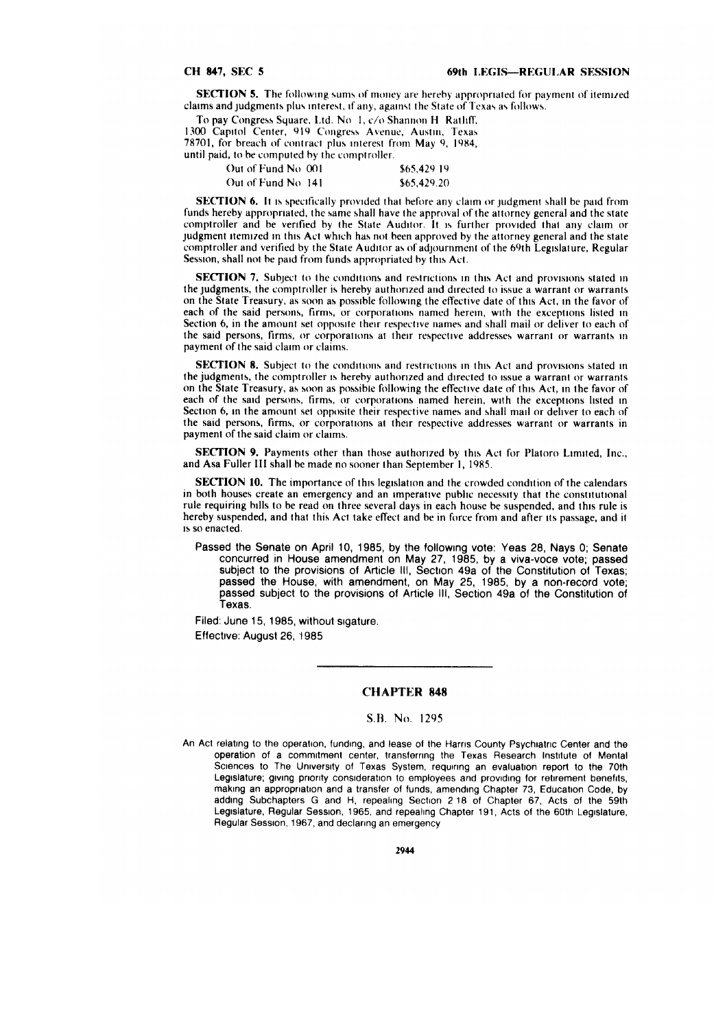**SECTION 5.** The following sums of money are hereby appropriated for payment of itemized claims and judgments plus interest, if any, against the State of Texas as follows.

To pay Congress Square, Ltd. No **1,** *c/o* Shannon H Ratliff.

1300 Capitol Center, 919 Congress Avenue, Austin, Texas 78701, for breach of contract plus interest from May **9,** 1984,

until paid, to be computed by the comptroller.

| Out of Fund No. 001 | \$65.429.19 |
|---------------------|-------------|
| Out of Fund No. 141 | \$65.429.20 |

SECTION **6. It** is specifically provided that before any claim or judgment shall be paid from funds hereby appropriated, the same shall have the approval of the attorney general and the state comptroller and be verified by the State Auditor. It is further provided that any claim or judgment itemized in this Act which has not been approved by the attorney general and the state comptroller and verified by the State Auditor as of adjournment of the 69th Legislature, Regular Session, shall not be paid from funds appropriated by this Act.

**SECTION 7.** Subject to the conditions and restrictions in this Act and provisions stated in the judgments, the comptroller is hereby authorized and directed to issue a warrant or warrants on the State Treasury, as soon as possible following the effective date of this Act, in the favor of each of the said persons, firms, or corporations named herein, with the exceptions listed in Section 6, in the amount set opposite their respective names and shall mail or deliver to each of the said persons, firms, or corporations at their respective addresses warrant or warrants **in** payment of the said claim or claims.

SECTION 8. Subject to the conditions and restrictions in this Act and provisions stated in the judgments, the comptroller is hereby authorized and directed to issue a warrant or warrants on the State Treasury, as soon as possible following the effective date of this Act, in the favor of each of the said persons, firms, or corporations named herein, with the exceptions listed in Section 6, in the amount set opposite their respective names and shall mail or deliver to each of the said persons, firms, or corporations at their respective addresses warrant or warrants in payment of the said claim or claims.

**SECTION 9.** Payments other than those authorized by this Act for Platoro Limited, Inc., and Asa Fuller II shall be made no sooner than September **1,** 1985.

SECTION **10.** The importance of this legislation and the crowded condition of the calendars in both houses create an emergency and an imperative public necessity that the constitutional rule requiring bills to be read on three several days in each house be suspended, and this rule is hereby suspended, and that this Act take effect and be in force from and after its passage, and it is so enacted.

Passed the Senate on April 10, 1985, by the following vote: Yeas 28, Nays 0; Senate concurred in House amendment on May 27, 1985, by a viva-voce vote; passed subject to **the** provisions of Article **III,** Section 49a of the Constitution of Texas; passed the House, with amendment, on May **25, 1985, by** a non-record vote; passed subject to the provisions of Article **III,** Section 49a of the Constitution of Texas.

Filed: June **15, 1985,** without sigature. Effective: August **26, 1985**

### **CHAPTER 848**

# S.B. No. 1295

An Act relating to the operation, funding, and lease of the Harris County Psychiatric Center and the operation of a commitment center, transferring the Texas Research Institute of Mental Sciences to The University of Texas System, requiring an evaluation report to the 70th Legislature; giving priority consideration to employees and providing for retirement benefits, making an appropriation and a transfer of funds, amending Chapter 73, Education Code, by adding Subchapters G and H, repealing Section 2 **18** of Chapter 67, Acts of the 59th Legislature, Regular Session, 1965, and repealing Chapter 191, Acts of the 60th Legislature, Regular Session, 1967, and declaring an emergency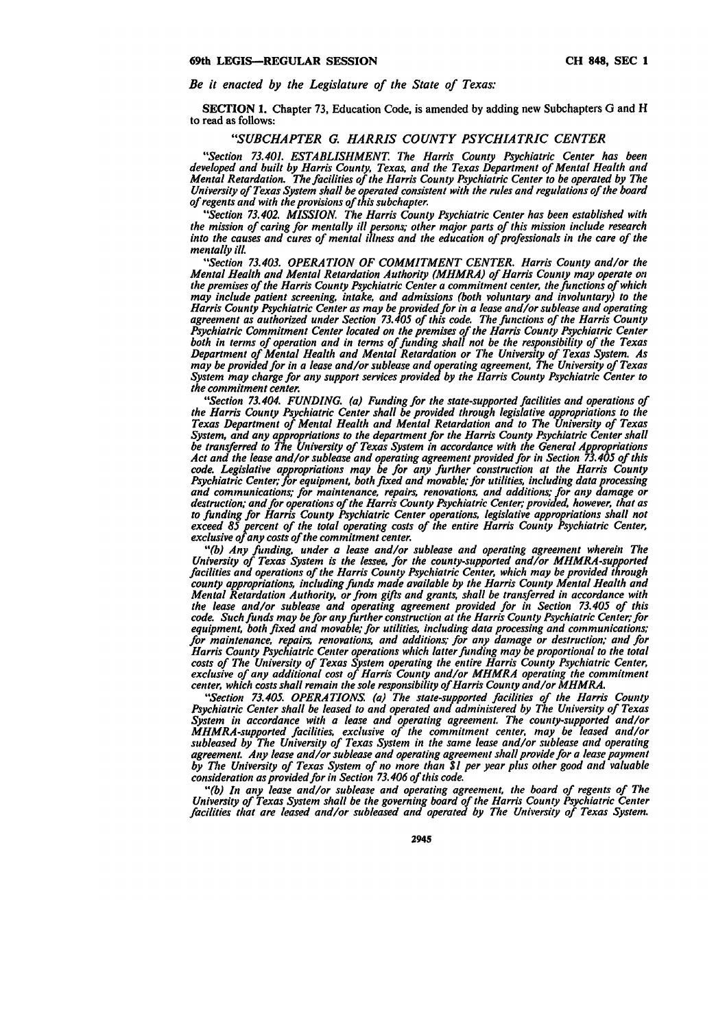# *Be it enacted by the Legislature of the State of Texas:*

SECTION 1. Chapter 73, Education Code, is amended by adding new Subchapters **G** and H to read as follows:

# *"SUBCHAPTER G. HARRIS COUNTY PSYCHIATRIC CENTER*

*"Section 73.401. ESTABLISHMENT The Harris County Psychiatric Center has been developed and built by Harris County, Texas, and the Texas Department of Mental Health and Mental Retardation. The facilities of the Harris County Psychiatric Center to be operated by The University of Texas System shall be operated consistent with the rules and regulations of the board of regents and with the provisions of this subchapter.*

*"Section 73.402. MISSION. The Harris County Psychiatric Center has been established with the mission of caring for mentally ill persons; other major parts of this mission include research into the causes and cures of mental illness and the education of professionals in the care of the mentally ill.*

*"Section 73.403. OPERATION OF COMMITMENT CENTER. Harris County and/or the Mental Health and Mental Retardation Authority (MHMRA) of Harris County may operate on the premises of the Harris County Psychiatric Center a commitment center, the functions of which may include patient screening, intake, and admissions (both voluntary and involuntary) to the Harris County Psychiatric Center as may be provided for in a lease and/or sublease and operating agreement as authorized under Section 73.405 of this code. The functions of the Harris County Psychiatric Commitment Center located on the premises of the Harris County Psychiatric Center both in terms of operation and in terms of funding shall not be the responsibility of the Texas Department of Mental Health and Mental Retardation or The University of Texas System. As may be provided for in a lease and/or sublease and operating agreement, The University of Texas System may charge for any support services provided by the Harris County Psychiatric Center to the commitment center.*

*"Section 73.404. FUNDING. (a) Funding for the state-supported facilities and operations of the Harris County Psychiatric Center shall be provided through legislative appropriations to the Texas Department of Mental Health and Mental Retardation and to The University of Texas System, and any appropriations to the department for the Harris County Psychiatric Center shall be transferred to The University of Texas System in accordance with the General Appropriations*<br>Act and the lease and/or sublease and operating agreement provided for in Section 73.405 of this code. Legislative appropriations may be for any further construction at the Harris County<br>Psychiatric Center; for equipment, both fixed and movable; for utilities, including data processing *and communications; for maintenance, repairs, renovations, and additions; for any damage or destruction; and for operations of the Harris County Psychiatric Center; provided, however, that as to funding for Harris County Psychiatric Center operations, legislative appropriations shall not exceed 85 percent of the total operating costs of the entire Harris County Psychiatric Center, exclusive of any costs of the commitment center.*

*"'(b) Any funding, under a lease and/or sublease and operating agreement wherein The University of Texas System is the lessee, for the county-supported and/or MHMRA-supported facilities and operations of the Harris County Psychiatric Center, which may be provided through county appropriations, including funds made available by the Harris County Mental Health and Mental Retardation Authority, or from gifts and grants, shall be transferred in accordance with the lease and/or sublease and operating agreement provided for in Section 73.405 of this code. Such funds may be for any further construction at the Harris County Psychiatric Center; for equipment, both fixed and movable; for utilities, including data processing and communications; for maintenance, repairs, renovations, and additions for any damage or destruction; and for Harris County Psychiatric Center operations which latter funding may be proportional to the total costs of The University of Texas System operating the entire Harris County Psychiatric Center, exclusive of any additional cost of Harris County and/or MHMRA operating the commitment center, which costs shall remain the sole responsibility of Harris County and/or MHMRA.*

*"Section 73.405. OPERATIONS. (a) The state-supported facilities of the Harris County Psychiatric Center shall be leased to and operated and administered by The University of Texas System in accordance with a lease and operating agreement. The county-supported and/or MHMRA-supported facilities, exclusive of the commitment center, may be leased and/or subleased by The University of Texas System in the same lease and/or sublease and operating agreement. Any lease and/or sublease and operating agreement shall provide for a lease payment by The University of Texas System of no more than \$1 per year plus other good and valuable consideration as provided for in Section 73.406 of this code.*

*"(b) In any lease and/or sublease and operating agreement, the board of regents of The University of Texas System shall be the governing board of the Harris County Psychiatric Center facilities that are leased and/or subleased and operated by The University of Texas System.*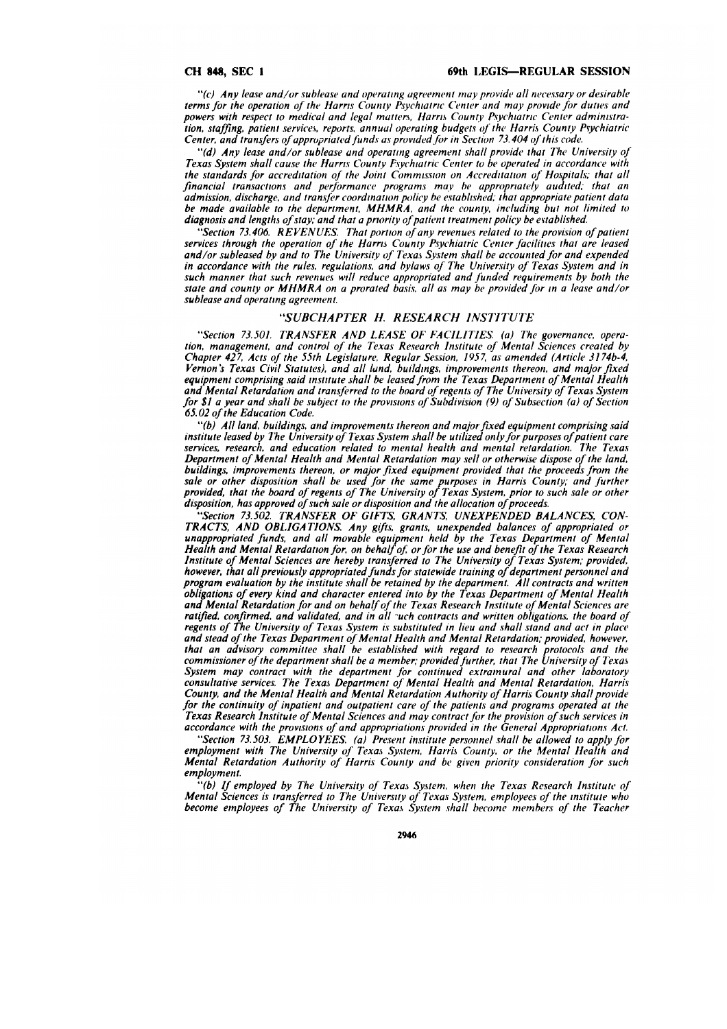#### **CH 848, SEC I**

*"(c)* Any lease and/or sublease and operating agreement may provide all necessary or desirable terms for the operation of the Harris County Psychiatric Center and may provide for dutes and powers with respect to medical and legal *matters.,* Harris *Countv* Psychiatric Center administra*tion,* staffing, patient services, reports, annual operating budgets of the Harris County Pvychiatric Center, and transfers of appropriated funds as provided for in Section 73.404 of this code.

"(d) Any lease and/or sublease and operating agreement shall provide that The University of Texas System shall cause the Harris County Psychiatric Center to be operated in accordance with the standards for accreditation of the Joint *Commission* on Accreditation of *Hospitals;* that all financial transactions and performance programs may be appropriately audited, that an admission, discharge, and transfer coordination policy be established, that appropriate patient data be made available to the department, MHMRA, and the county, including but not limited to diagnosis and lengths of stay; and that a priority of patient treatment policy be evtablished.

"Section 73.406. REVENUES. That portion of any revenues related to the provision of patient services through the operation of the Harris County Psychiatric Center facilities that are leased and/or subleased **by** and to The University of Texas System shall be accounted for and expended in accordance with the rules, regulations, and bylaws of The University of Texas System and in such manner that such revenues will reduce appropriated and *funded* requirements by both the state and county or MHMRA on a prorated basis, all as may be provided for in a lease and/or sublease and operating agreement.

## *"SUBCHAPTER H. RESEARCH INSTITUTE*

"Section 73.501. *TRANSFER* AND LEASE OF FACILITIES. (a) The governance, operation, management, and control of the Texas Research Institute of Mental Sciences created by Chapter 427, Acts of the 55th Legislature, Regular Session, 1957, as amended (Article 3174b-4, Vernon's Texas Civil Statutes), and all land, buildings, improvements thereon, and major fixed equipment comprising said institute shall be leased from the Texas Department of Mental Health and Mental Retardation and transferred to the board of regents of The University of Texas System for \$1 a year and shall be subject to the provisions of Subdivision (9) of Subsection (a) of Section **65.** 02 of the Education Code.

"(b) All land, buildings, and improvements thereon and major fixed equipment comprising said institute leased by The University of Texas System shall be utilized only for purposes of patient care services, research, and education related to mental health and mental retardation. The Texas Department of Mental Health and Mental Retardation may sell or otherwise dispose of the land, buildings, improvements thereon, or major fixed equipment provided that the proceeds from the sale or other disposition shall be used for the same purposes in Harris County; and further provided, that the board of regents of The University of Texas System, prior to such sale or other disposition, has approved of such sale or disposition and the allocation of proceeds.

"Section 73.502. TRANSFER OF GIFTS, GRANTS, UNEXPENDED BALANCES, CON-TRACTS, AND OBLIGATIONS. Any gifts, grants, unexpended balances of appropriated or *unappropriated* funds, and all movable equipment held by the Texas Department of Mental *Health* and Mental Retardation for, on behalf oj, *or* for the use and benefit of the Texas Research Institute of Mental Sciences are hereby transferred to The University of Texas System; provided, however, that all previously appropriated funds for statewide training of department personnel and program evaluation by the institute shall be retained by the department. All contracts and written obligations of every kind and character entered into by the Texas Department of Mental Health and Mental Retardation for and on behalf of the Texas Research Institute of Mental Sciences are ratified, confirmed, and validated, and in all *-uch* contracts and written obligations, the board of regents of The University of Texas System is substituted in lieu and shall stand and act in place and stead of the Texas Department of Mental Health and Mental Retardation; provided, however, that an advisory committee shall be established with regard to research protocols and the commissioner of the department shall be a member; provided *firther,* that The University of Texas System may contract with the department for continued extramural and other laboratory consultative services. The Texas Department of Mental Health and Mental Retardation, Harris County, and the Mental Health and Mental Retardation Authority of Harris County shall provide for the continuity of inpatient and outpatient care of the patients and programs operated at the Texas Research Institute of Mental Sciences and may contract for the provision of such services in accordance with the provisions of and appropriations provided in the General Appropriattons Act.

"Section 73.503. EMPLOYEES. (a) Present institute personnel shall be allowed to apply for employment with The University of Texas System, Harris County, or the Mental Health and Mental Retardation Authority of Harris County and be given priority consideration for such employment.

**"(b)** If employed by The University of Texas System, when the Texas Research Institute of Mental Sciences is transferred to The University of Texas System, employees of the institute who become employees of The University of Texas System shall become members of the Teacher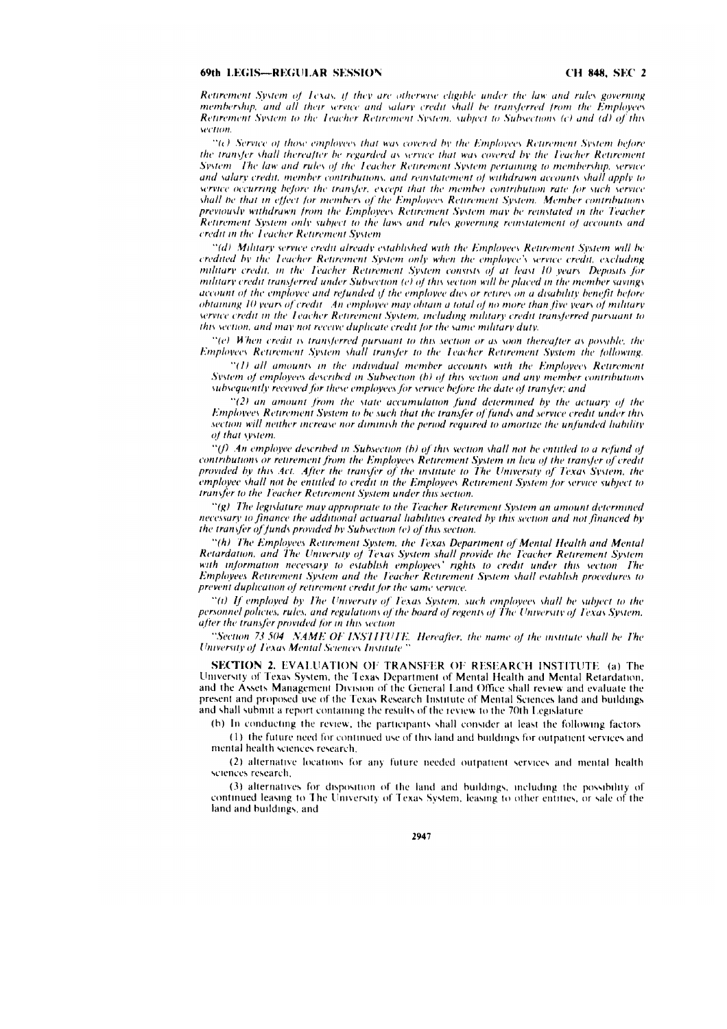### 69th LEGIS-REGULAR SESSION

Retirement System of Texas, if they are otherwise eligible under the law and rules governing membership, and all their service and salary credit shall be transferred from the Employees Retirement System to the Teacher Retirement System, subject to Subsections (c) and (d) of this section

 $\mathcal{C}(\epsilon)$  Service of those employees that was covered by the Employees Retirement System before the transfer shall thereafter be regarded as service that was covered by the Teacher Retirement System. The law and rules of the Teacher Retirement System pertaining to membership, service and salary credit, member contributions, and reinstatement of withdrawn accounts shall apply to service occurring before the transfer, except that the member contribution rate for such service shall be that in effect for members of the Employees Retirement System. Member contributions previously withdrawn from the Employees Retirement System may be reinstated in the Teacher Retirement System only subject to the laws and rules governing reinstatement of accounts and credit in the Teacher Retirement System

"(d) Military service credit already established with the Employees Retirement System will be credited by the Teacher Retirement System only when the employee's service credit, excluding military credit, in the Teacher Retirement System consists of at least 10 years. Deposits for military credit transferred under Subsection (e) of this section will be placed in the member savings account of the employee and refunded if the employee dies or retires on a disability benefit before obtaining 10 years of credit. An employee may obtain a total of no more than five years of military service credit in the Teacher Retirement System, including military credit transferred pursuant to this section, and may not receive duplicate credit for the same military duty.

"(e) When credit is transferred pursuant to this section or as soon thereafter as possible, the Employees Retirement System shall transfer to the Teacher Retirement System the following.

"(1) all amounts in the individual member accounts with the Employees Retirement System of employees described in Subsection (b) of this section and any member contributions subsequently received for these employees for service before the date of transfer; and

 $\degree$ (2) an amount from the state accumulation fund determined by the actuary of the Employees Retirement System to be such that the transfer of funds and service credit under this section will neither increase nor diminish the period required to amortize the unfunded liability of that system.

"(f) An employee described in Subsection (b) of this section shall not be entitled to a refund of contributions or retirement from the Employees Retirement System in lieu of the transfer of credit provided by this Act. After the transfer of the institute to The University of Texas System, the employee shall not be entitled to credit in the Employees Retirement System for service subject to transfer to the Teacher Retirement System under this section.

"(g) The legislature may appropriate to the Teacher Retirement System an amount determined necessary to finance the additional actuarial liabilities created by this section and not financed by the transfer of funds provided by Subsection (e) of this section.

"(h) The Employees Retirement System, the Texas Department of Mental Health and Mental Retardation, and The University of Texas System shall provide the Teacher Retirement System with information necessary to establish employees' rights to credit under this section. The Employees Retirement System and the Teacher Retirement System shall establish procedures to prevent duplication of retirement credit for the same service.

"(i) If employed by The University of Texas System, such employees shall be subject to the personnel policies, rules, and regulations of the board of regents of The University of Texas System, after the transfer provided for in this section

"Section 73 504 NAME OF INSTITUTE. Hereafter, the name of the institute shall be The **University of Texas Mental Sciences Institute** 

**SECTION 2. EVALUATION OF TRANSFER OF RESEARCH INSTITUTE (a) The** University of Texas System, the Texas Department of Mental Health and Mental Retardation, and the Assets Management Division of the General Land Office shall review and evaluate the present and proposed use of the Texas Research Institute of Mental Sciences land and buildings and shall submit a report containing the results of the review to the 70th Legislature

(b) In conducting the review, the participants shall consider at least the following factors (1) the future need for continued use of this land and buildings for outpatient services and mental health sciences research.

(2) alternative locations for any future needed outpatient services and mental health sciences research.

(3) alternatives for disposition of the land and buildings, including the possibility of continued leasing to The University of Texas System, leasing to other entities, or sale of the land and buildings, and